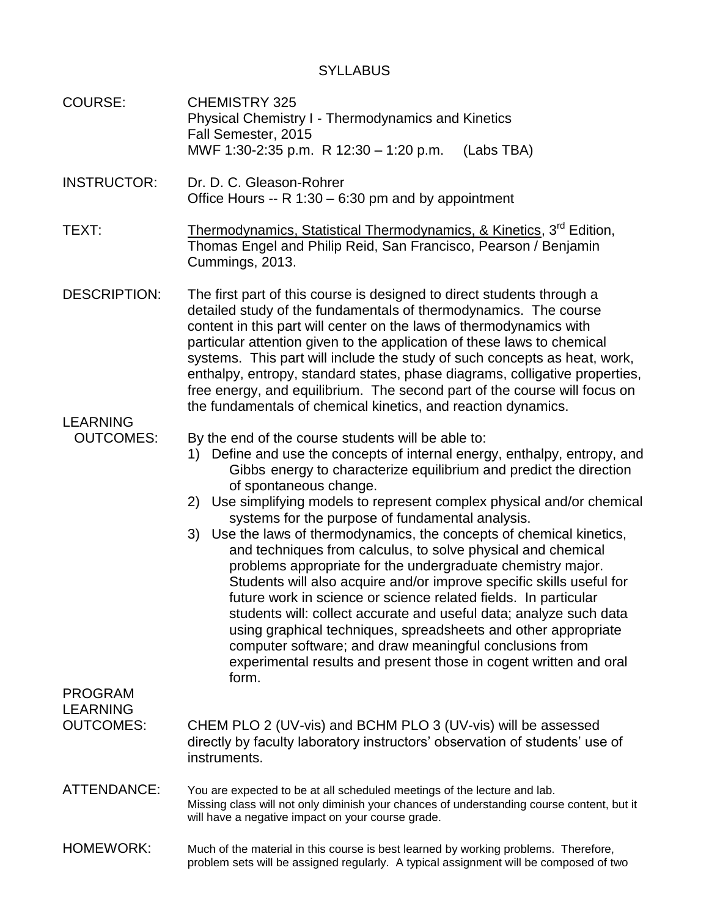## SYLLABUS

| <b>COURSE:</b>                                        | <b>CHEMISTRY 325</b><br>Physical Chemistry I - Thermodynamics and Kinetics<br>Fall Semester, 2015<br>MWF 1:30-2:35 p.m. R 12:30 - 1:20 p.m.<br>(Labs TBA)                                                                                                                                                                                                                                                                                                                                                                                                                                                                                                                                                                                                                                                                                                                                                                                                                                             |  |
|-------------------------------------------------------|-------------------------------------------------------------------------------------------------------------------------------------------------------------------------------------------------------------------------------------------------------------------------------------------------------------------------------------------------------------------------------------------------------------------------------------------------------------------------------------------------------------------------------------------------------------------------------------------------------------------------------------------------------------------------------------------------------------------------------------------------------------------------------------------------------------------------------------------------------------------------------------------------------------------------------------------------------------------------------------------------------|--|
| <b>INSTRUCTOR:</b>                                    | Dr. D. C. Gleason-Rohrer<br>Office Hours -- $R$ 1:30 – 6:30 pm and by appointment                                                                                                                                                                                                                                                                                                                                                                                                                                                                                                                                                                                                                                                                                                                                                                                                                                                                                                                     |  |
| TEXT:                                                 | Thermodynamics, Statistical Thermodynamics, & Kinetics, 3 <sup>rd</sup> Edition,<br>Thomas Engel and Philip Reid, San Francisco, Pearson / Benjamin<br>Cummings, 2013.                                                                                                                                                                                                                                                                                                                                                                                                                                                                                                                                                                                                                                                                                                                                                                                                                                |  |
| <b>DESCRIPTION:</b>                                   | The first part of this course is designed to direct students through a<br>detailed study of the fundamentals of thermodynamics. The course<br>content in this part will center on the laws of thermodynamics with<br>particular attention given to the application of these laws to chemical<br>systems. This part will include the study of such concepts as heat, work,<br>enthalpy, entropy, standard states, phase diagrams, colligative properties,<br>free energy, and equilibrium. The second part of the course will focus on<br>the fundamentals of chemical kinetics, and reaction dynamics.                                                                                                                                                                                                                                                                                                                                                                                                |  |
| <b>LEARNING</b><br><b>OUTCOMES:</b>                   | By the end of the course students will be able to:<br>Define and use the concepts of internal energy, enthalpy, entropy, and<br>1)<br>Gibbs energy to characterize equilibrium and predict the direction<br>of spontaneous change.<br>2) Use simplifying models to represent complex physical and/or chemical<br>systems for the purpose of fundamental analysis.<br>3) Use the laws of thermodynamics, the concepts of chemical kinetics,<br>and techniques from calculus, to solve physical and chemical<br>problems appropriate for the undergraduate chemistry major.<br>Students will also acquire and/or improve specific skills useful for<br>future work in science or science related fields. In particular<br>students will: collect accurate and useful data; analyze such data<br>using graphical techniques, spreadsheets and other appropriate<br>computer software; and draw meaningful conclusions from<br>experimental results and present those in cogent written and oral<br>form. |  |
| <b>PROGRAM</b><br><b>LEARNING</b><br><b>OUTCOMES:</b> | CHEM PLO 2 (UV-vis) and BCHM PLO 3 (UV-vis) will be assessed<br>directly by faculty laboratory instructors' observation of students' use of<br>instruments.                                                                                                                                                                                                                                                                                                                                                                                                                                                                                                                                                                                                                                                                                                                                                                                                                                           |  |
| ATTENDANCE:                                           | You are expected to be at all scheduled meetings of the lecture and lab.<br>Missing class will not only diminish your chances of understanding course content, but it<br>will have a negative impact on your course grade.                                                                                                                                                                                                                                                                                                                                                                                                                                                                                                                                                                                                                                                                                                                                                                            |  |
| <b>HOMEWORK:</b>                                      | Much of the material in this course is best learned by working problems. Therefore,<br>problem sets will be assigned regularly. A typical assignment will be composed of two                                                                                                                                                                                                                                                                                                                                                                                                                                                                                                                                                                                                                                                                                                                                                                                                                          |  |